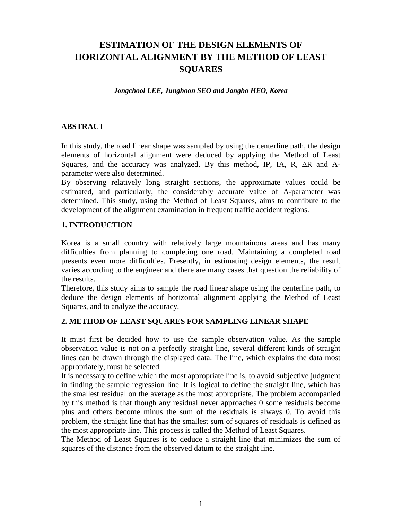# **ESTIMATION OF THE DESIGN ELEMENTS OF HORIZONTAL ALIGNMENT BY THE METHOD OF LEAST SQUARES**

*Jongchool LEE, Junghoon SEO and Jongho HEO, Korea*

#### **ABSTRACT**

In this study, the road linear shape was sampled by using the centerline path, the design elements of horizontal alignment were deduced by applying the Method of Least Squares, and the accuracy was analyzed. By this method, IP, IA, R, ∆R and Aparameter were also determined.

By observing relatively long straight sections, the approximate values could be estimated, and particularly, the considerably accurate value of A-parameter was determined. This study, using the Method of Least Squares, aims to contribute to the development of the alignment examination in frequent traffic accident regions.

#### **1. INTRODUCTION**

Korea is a small country with relatively large mountainous areas and has many difficulties from planning to completing one road. Maintaining a completed road presents even more difficulties. Presently, in estimating design elements, the result varies according to the engineer and there are many cases that question the reliability of the results.

Therefore, this study aims to sample the road linear shape using the centerline path, to deduce the design elements of horizontal alignment applying the Method of Least Squares, and to analyze the accuracy.

#### **2. METHOD OF LEAST SQUARES FOR SAMPLING LINEAR SHAPE**

It must first be decided how to use the sample observation value. As the sample observation value is not on a perfectly straight line, several different kinds of straight lines can be drawn through the displayed data. The line, which explains the data most appropriately, must be selected.

It is necessary to define which the most appropriate line is, to avoid subjective judgment in finding the sample regression line. It is logical to define the straight line, which has the smallest residual on the average as the most appropriate. The problem accompanied by this method is that though any residual never approaches 0 some residuals become plus and others become minus the sum of the residuals is always 0. To avoid this problem, the straight line that has the smallest sum of squares of residuals is defined as the most appropriate line. This process is called the Method of Least Squares.

The Method of Least Squares is to deduce a straight line that minimizes the sum of squares of the distance from the observed datum to the straight line.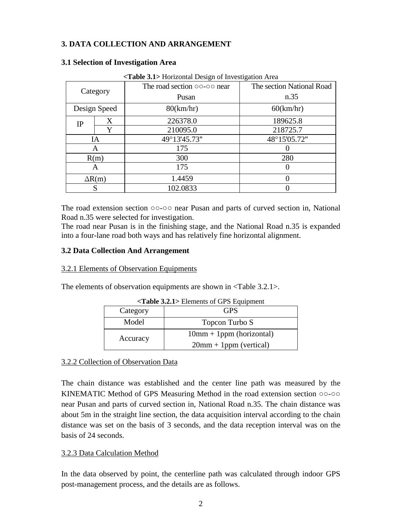## **3. DATA COLLECTION AND ARRANGEMENT**

| <table 3.1=""> Horizontal Design of Investigation Area</table> |   |                                                 |                           |  |  |  |
|----------------------------------------------------------------|---|-------------------------------------------------|---------------------------|--|--|--|
| Category                                                       |   | The road section $\circ \circ \circ \circ$ near | The section National Road |  |  |  |
|                                                                |   | Pusan                                           | n.35                      |  |  |  |
| Design Speed                                                   |   | 80(km/hr)                                       | 60(km/hr)                 |  |  |  |
| <b>IP</b>                                                      | Χ | 226378.0                                        | 189625.8                  |  |  |  |
|                                                                | Y | 210095.0                                        | 218725.7                  |  |  |  |
| IA                                                             |   | 49°13'45.73"                                    | 48°15'05.72"              |  |  |  |
| A                                                              |   | 175                                             |                           |  |  |  |
| R(m)                                                           |   | 300                                             | 280                       |  |  |  |
| A                                                              |   | 175                                             |                           |  |  |  |
| $\Delta R(m)$                                                  |   | 1.4459                                          |                           |  |  |  |
| S                                                              |   | 102.0833                                        |                           |  |  |  |

#### **3.1 Selection of Investigation Area**

The road extension section ○○-○○ near Pusan and parts of curved section in, National Road n.35 were selected for investigation.

The road near Pusan is in the finishing stage, and the National Road n.35 is expanded into a four-lane road both ways and has relatively fine horizontal alignment.

#### **3.2 Data Collection And Arrangement**

#### 3.2.1 Elements of Observation Equipments

The elements of observation equipments are shown in <Table 3.2.1>.

| $\leq$ <b>l able 3.2.1</b> > Elements of GPS Equipment |                            |  |  |  |
|--------------------------------------------------------|----------------------------|--|--|--|
| Category                                               | GPS                        |  |  |  |
| Model                                                  | Topcon Turbo S             |  |  |  |
| Accuracy                                               | $10mm + 1ppm$ (horizontal) |  |  |  |
|                                                        | $20mm + 1ppm$ (vertical)   |  |  |  |

# **<Table 3.2.1>** Elements of GPS Equipment

#### 3.2.2 Collection of Observation Data

The chain distance was established and the center line path was measured by the KINEMATIC Method of GPS Measuring Method in the road extension section ○○-○○ near Pusan and parts of curved section in, National Road n.35. The chain distance was about 5m in the straight line section, the data acquisition interval according to the chain distance was set on the basis of 3 seconds, and the data reception interval was on the basis of 24 seconds.

#### 3.2.3 Data Calculation Method

In the data observed by point, the centerline path was calculated through indoor GPS post-management process, and the details are as follows.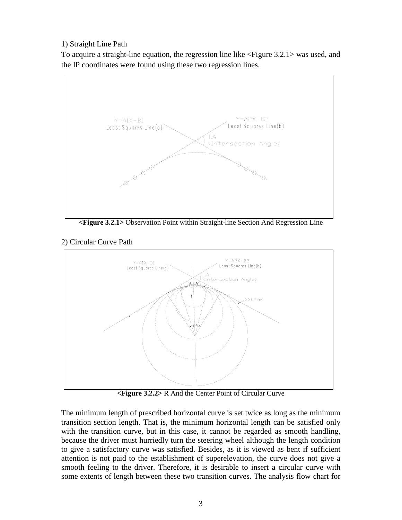## 1) Straight Line Path

To acquire a straight-line equation, the regression line like <Figure 3.2.1> was used, and the IP coordinates were found using these two regression lines.



**<Figure 3.2.1>** Observation Point within Straight-line Section And Regression Line

2) Circular Curve Path



**<Figure 3.2.2>** R And the Center Point of Circular Curve

The minimum length of prescribed horizontal curve is set twice as long as the minimum transition section length. That is, the minimum horizontal length can be satisfied only with the transition curve, but in this case, it cannot be regarded as smooth handling, because the driver must hurriedly turn the steering wheel although the length condition to give a satisfactory curve was satisfied. Besides, as it is viewed as bent if sufficient attention is not paid to the establishment of superelevation, the curve does not give a smooth feeling to the driver. Therefore, it is desirable to insert a circular curve with some extents of length between these two transition curves. The analysis flow chart for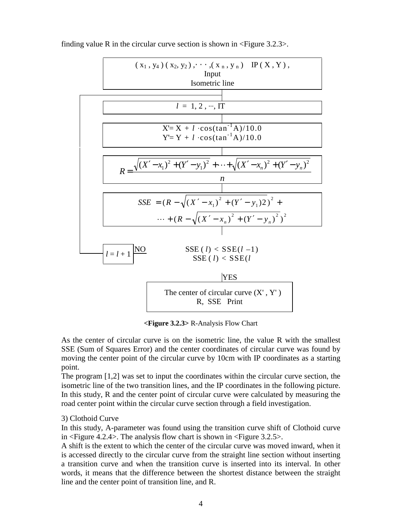

finding value R in the circular curve section is shown in  $\langle$ Figure 3.2.3 $>$ .

**<Figure 3.2.3>** R-Analysis Flow Chart

As the center of circular curve is on the isometric line, the value R with the smallest SSE (Sum of Squares Error) and the center coordinates of circular curve was found by moving the center point of the circular curve by 10cm with IP coordinates as a starting point.

The program [1,2] was set to input the coordinates within the circular curve section, the isometric line of the two transition lines, and the IP coordinates in the following picture. In this study, R and the center point of circular curve were calculated by measuring the road center point within the circular curve section through a field investigation.

#### 3) Clothoid Curve

In this study, A-parameter was found using the transition curve shift of Clothoid curve in <Figure 4.2.4>. The analysis flow chart is shown in <Figure 3.2.5>.

A shift is the extent to which the center of the circular curve was moved inward, when it is accessed directly to the circular curve from the straight line section without inserting a transition curve and when the transition curve is inserted into its interval. In other words, it means that the difference between the shortest distance between the straight line and the center point of transition line, and R.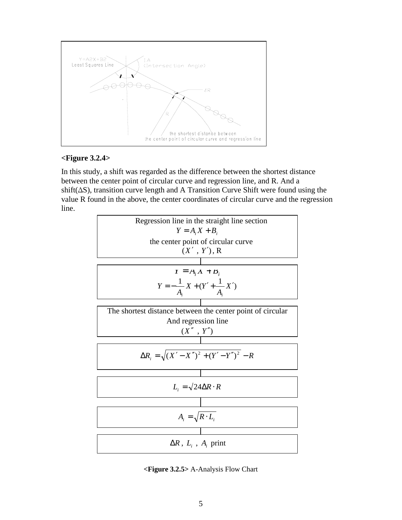

#### **<Figure 3.2.4>**

In this study, a shift was regarded as the difference between the shortest distance between the center point of circular curve and regression line, and R. And a shift(∆S), transition curve length and A Transition Curve Shift were found using the value R found in the above, the center coordinates of circular curve and the regression line.



**<Figure 3.2.5>** A-Analysis Flow Chart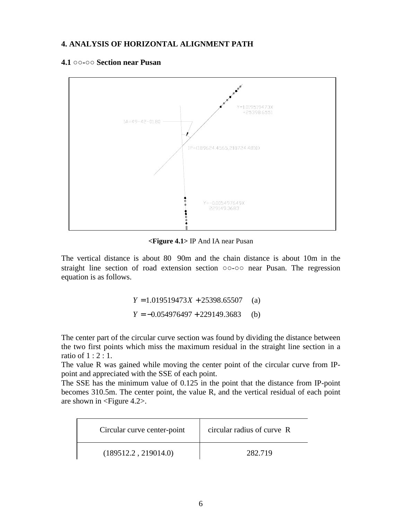#### **4. ANALYSIS OF HORIZONTAL ALIGNMENT PATH**

#### **4.1 ○○-○○ Section near Pusan**



**<Figure 4.1>** IP And IA near Pusan

The vertical distance is about 80 90m and the chain distance is about 10m in the straight line section of road extension section ○○-○○ near Pusan. The regression equation is as follows.

> *Y* = 1.019519473*X* + 25398.65507 (a) *Y* = −0.054976497 + 229149.3683 (b)

The center part of the circular curve section was found by dividing the distance between the two first points which miss the maximum residual in the straight line section in a ratio of 1 : 2 : 1.

The value R was gained while moving the center point of the circular curve from IPpoint and appreciated with the SSE of each point.

The SSE has the minimum value of 0.125 in the point that the distance from IP-point becomes 310.5m. The center point, the value R, and the vertical residual of each point are shown in <Figure 4.2>.

| Circular curve center-point | circular radius of curve R |
|-----------------------------|----------------------------|
| (189512.2, 219014.0)        | 282.719                    |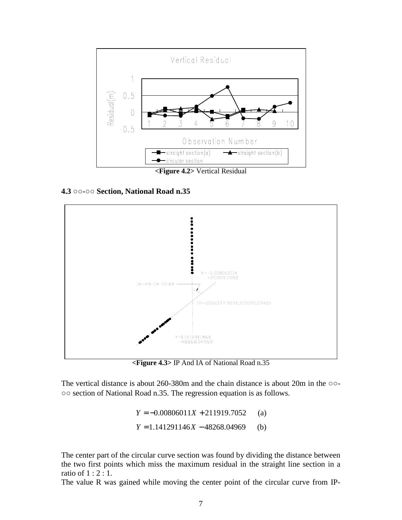

**4.3 ○○-○○ Section, National Road n.35**



**<Figure 4.3>** IP And IA of National Road n.35

The vertical distance is about 260-380m and the chain distance is about 20m in the ○○- ○○ section of National Road n.35. The regression equation is as follows.

> *Y* = −0.00806011*X* + 211919.7052 (a) *Y* = 1.141291146*X* − 48268.04969 (b)

The center part of the circular curve section was found by dividing the distance between the two first points which miss the maximum residual in the straight line section in a ratio of 1 : 2 : 1.

The value R was gained while moving the center point of the circular curve from IP-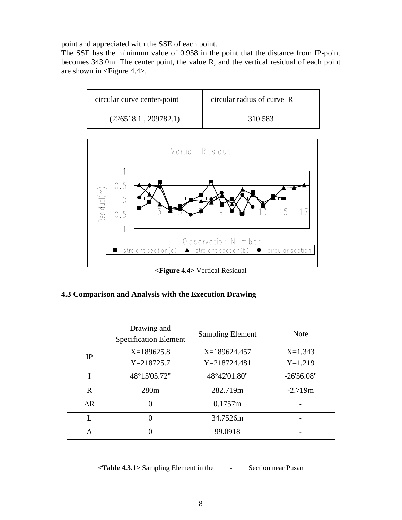point and appreciated with the SSE of each point.

The SSE has the minimum value of 0.958 in the point that the distance from IP-point becomes 343.0m. The center point, the value R, and the vertical residual of each point are shown in <Figure 4.4>.





**<Figure 4.4>** Vertical Residual

### **4.3 Comparison and Analysis with the Execution Drawing**

|            | Drawing and<br><b>Specification Element</b> | <b>Sampling Element</b> | <b>Note</b>  |
|------------|---------------------------------------------|-------------------------|--------------|
| IP         | $X=189625.8$                                | $X=189624.457$          | $X=1.343$    |
|            | $Y = 218725.7$                              | $Y = 218724.481$        | $Y=1.219$    |
|            | 48°15'05.72"                                | 48°42'01.80"            | $-26'56.08"$ |
| R          | 280 <sub>m</sub>                            | 282.719m                | $-2.719m$    |
| $\Delta R$ |                                             | 0.1757m                 |              |
| L          |                                             | 34.7526m                |              |
| A          | 0                                           | 99.0918                 |              |

**<Table 4.3.1>** Sampling Element in the - Section near Pusan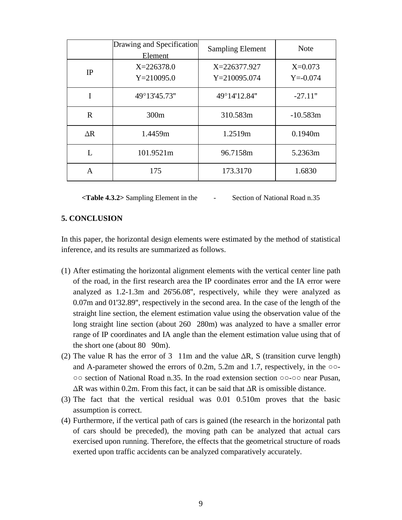|              | Drawing and Specification<br>Element | <b>Sampling Element</b>          | <b>Note</b>               |
|--------------|--------------------------------------|----------------------------------|---------------------------|
| IP           | $X = 226378.0$<br>$Y = 210095.0$     | X=226377.927<br>$Y = 210095.074$ | $X=0.073$<br>$Y = -0.074$ |
| I            | 49°13'45.73"                         | 49°14'12.84"                     | $-27.11"$                 |
| $\mathbf{R}$ | 300m                                 | 310.583m                         | $-10.583m$                |
| $\Delta R$   | 1.4459m                              | 1.2519m                          | 0.1940m                   |
| L            | 101.9521m                            | 96.7158m                         | 5.2363m                   |
| A            | 175                                  | 173.3170                         | 1.6830                    |

**<Table 4.3.2>** Sampling Element in the - Section of National Road n.35

#### **5. CONCLUSION**

In this paper, the horizontal design elements were estimated by the method of statistical inference, and its results are summarized as follows.

- (1) After estimating the horizontal alignment elements with the vertical center line path of the road, in the first research area the IP coordinates error and the IA error were analyzed as 1.2-1.3m and 26′56.08″, respectively, while they were analyzed as 0.07m and 01′32.89″, respectively in the second area. In the case of the length of the straight line section, the element estimation value using the observation value of the long straight line section (about 260 280m) was analyzed to have a smaller error range of IP coordinates and IA angle than the element estimation value using that of the short one (about  $80\,$  90m).
- (2) The value R has the error of 3 11m and the value  $\Delta R$ , S (transition curve length) and A-parameter showed the errors of 0.2m, 5.2m and 1.7, respectively, in the ○○- ○○ section of National Road n.35. In the road extension section ○○-○○ near Pusan, ∆R was within 0.2m. From this fact, it can be said that ∆R is omissible distance.
- (3) The fact that the vertical residual was  $0.01$   $0.510$ m proves that the basic assumption is correct.
- (4) Furthermore, if the vertical path of cars is gained (the research in the horizontal path of cars should be preceded), the moving path can be analyzed that actual cars exercised upon running. Therefore, the effects that the geometrical structure of roads exerted upon traffic accidents can be analyzed comparatively accurately.